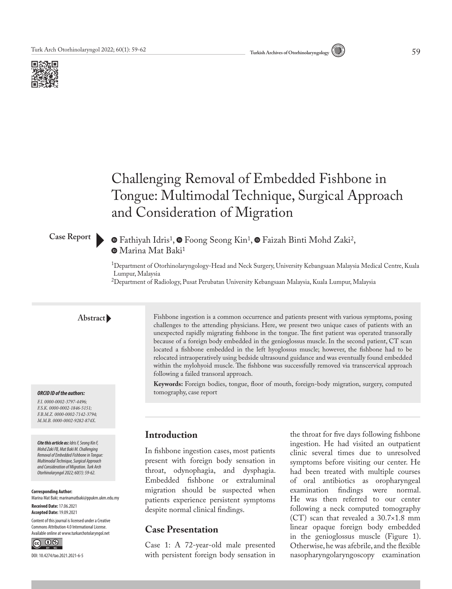



# Challenging Removal of Embedded Fishbone in Tongue: Multimodal Technique, Surgical Approach and Consideration of Migration

#### **Case Report**

## $\bullet$ Fathiyah Idris<sup>1</sup>,  $\bullet$  Foong Seong Kin<sup>1</sup>,  $\bullet$  Faizah Binti Mohd Zaki<sup>2</sup>, Marina Mat Baki1

1Department of Otorhinolaryngology-Head and Neck Surgery, University Kebangsaan Malaysia Medical Centre, Kuala Lumpur, Malaysia

<sup>2</sup>Department of Radiology, Pusat Perubatan University Kebangsaan Malaysia, Kuala Lumpur, Malaysia

#### **Abstract**

#### *ORCID ID of the authors:*

*F.I. 0000-0002-3797-4496; F.S.K. 0000-0002-1846-5151; F.B.M.Z. 0000-0002-7142-3794; M.M.B. 0000-0002-9282-874X.*

*Cite this article as: Idris F, Seong Kin F, Mohd Zaki FB, Mat Baki M. Challenging Removal of Embedded Fishbone in Tongue: Multimodal Technique, Surgical Approach and Consideration of Migration. Turk Arch Otorhinolaryngol 2022; 60(1): 59-62.*

**Corresponding Author:**  Marina Mat Baki; marinamatbaki@ppukm.ukm.edu.my

**Received Date:** 17.06.2021 **Accepted Date:** 19.09.2021

Content of this journal is licensed under a Creative Commons Attribution 4.0 International License. Available online at www.turkarchotolaryngol.net



DOI: 10.4274/tao.2021.2021-6-5

Fishbone ingestion is a common occurrence and patients present with various symptoms, posing challenges to the attending physicians. Here, we present two unique cases of patients with an unexpected rapidly migrating fishbone in the tongue. The first patient was operated transorally because of a foreign body embedded in the genioglossus muscle. In the second patient, CT scan located a fishbone embedded in the left hyoglossus muscle; however, the fishbone had to be relocated intraoperatively using bedside ultrasound guidance and was eventually found embedded within the mylohyoid muscle. The fishbone was successfully removed via transcervical approach following a failed transoral approach.

**Keywords:** Foreign bodies, tongue, floor of mouth, foreign-body migration, surgery, computed tomography, case report

#### **Introduction**

In fishbone ingestion cases, most patients present with foreign body sensation in throat, odynophagia, and dysphagia. Embedded fishbone or extraluminal migration should be suspected when patients experience persistent symptoms despite normal clinical findings.

#### **Case Presentation**

Case 1: A 72-year-old male presented with persistent foreign body sensation in the throat for five days following fishbone ingestion. He had visited an outpatient clinic several times due to unresolved symptoms before visiting our center. He had been treated with multiple courses of oral antibiotics as oropharyngeal examination findings were normal. He was then referred to our center following a neck computed tomography (CT) scan that revealed a 30.7×1.8 mm linear opaque foreign body embedded in the genioglossus muscle (Figure 1). Otherwise, he was afebrile, and the flexible nasopharyngolaryngoscopy examination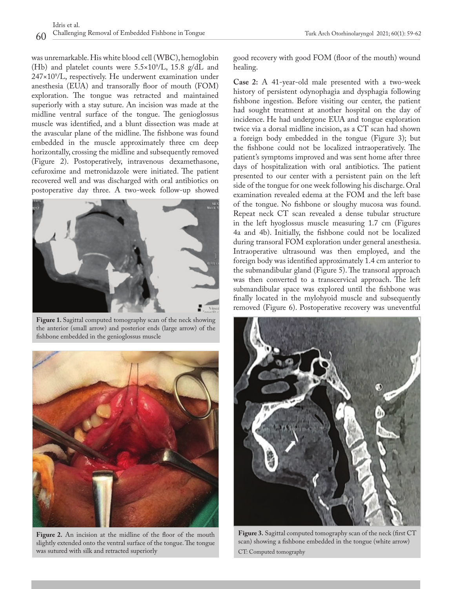was unremarkable. His white blood cell (WBC), hemoglobin (Hb) and platelet counts were 5.5×109 /L, 15.8 g/dL and 247×109 /L, respectively. He underwent examination under anesthesia (EUA) and transorally floor of mouth (FOM) exploration. The tongue was retracted and maintained superiorly with a stay suture. An incision was made at the midline ventral surface of the tongue. The genioglossus muscle was identified, and a blunt dissection was made at the avascular plane of the midline. The fishbone was found embedded in the muscle approximately three cm deep horizontally, crossing the midline and subsequently removed (Figure 2). Postoperatively, intravenous dexamethasone, cefuroxime and metronidazole were initiated. The patient recovered well and was discharged with oral antibiotics on postoperative day three. A two-week follow-up showed



**Figure 1.** Sagittal computed tomography scan of the neck showing the anterior (small arrow) and posterior ends (large arrow) of the fishbone embedded in the genioglossus muscle



Figure 2. An incision at the midline of the floor of the mouth slightly extended onto the ventral surface of the tongue. The tongue was sutured with silk and retracted superiorly

good recovery with good FOM (floor of the mouth) wound healing.

**Case 2:** A 41-year-old male presented with a two-week history of persistent odynophagia and dysphagia following fishbone ingestion. Before visiting our center, the patient had sought treatment at another hospital on the day of incidence. He had undergone EUA and tongue exploration twice via a dorsal midline incision, as a CT scan had shown a foreign body embedded in the tongue (Figure 3); but the fishbone could not be localized intraoperatively. The patient's symptoms improved and was sent home after three days of hospitalization with oral antibiotics. The patient presented to our center with a persistent pain on the left side of the tongue for one week following his discharge. Oral examination revealed edema at the FOM and the left base of the tongue. No fishbone or sloughy mucosa was found. Repeat neck CT scan revealed a dense tubular structure in the left hyoglossus muscle measuring 1.7 cm (Figures 4a and 4b). Initially, the fishbone could not be localized during transoral FOM exploration under general anesthesia. Intraoperative ultrasound was then employed, and the foreign body was identified approximately 1.4 cm anterior to the submandibular gland (Figure 5). The transoral approach was then converted to a transcervical approach. The left submandibular space was explored until the fishbone was finally located in the mylohyoid muscle and subsequently removed (Figure 6). Postoperative recovery was uneventful



**Figure 3.** Sagittal computed tomography scan of the neck (first CT scan) showing a fishbone embedded in the tongue (white arrow) CT: Computed tomography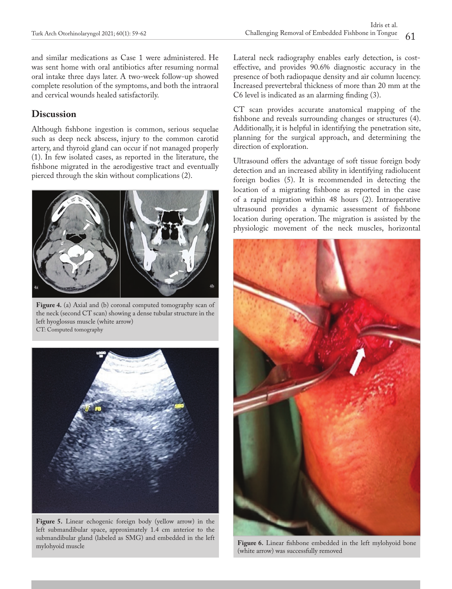and similar medications as Case 1 were administered. He was sent home with oral antibiotics after resuming normal oral intake three days later. A two-week follow-up showed complete resolution of the symptoms, and both the intraoral and cervical wounds healed satisfactorily.

## **Discussion**

Although fishbone ingestion is common, serious sequelae such as deep neck abscess, injury to the common carotid artery, and thyroid gland can occur if not managed properly (1). In few isolated cases, as reported in the literature, the fishbone migrated in the aerodigestive tract and eventually pierced through the skin without complications (2).



**Figure 4.** (a) Axial and (b) coronal computed tomography scan of the neck (second CT scan) showing a dense tubular structure in the left hyoglossus muscle (white arrow) CT: Computed tomography



**Figure 5.** Linear echogenic foreign body (yellow arrow) in the left submandibular space, approximately 1.4 cm anterior to the submandibular gland (labeled as SMG) and embedded in the left

Lateral neck radiography enables early detection, is costeffective, and provides 90.6% diagnostic accuracy in the presence of both radiopaque density and air column lucency. Increased prevertebral thickness of more than 20 mm at the C6 level is indicated as an alarming finding (3).

CT scan provides accurate anatomical mapping of the fishbone and reveals surrounding changes or structures (4). Additionally, it is helpful in identifying the penetration site, planning for the surgical approach, and determining the direction of exploration.

Ultrasound offers the advantage of soft tissue foreign body detection and an increased ability in identifying radiolucent foreign bodies (5). It is recommended in detecting the location of a migrating fishbone as reported in the case of a rapid migration within 48 hours (2). Intraoperative ultrasound provides a dynamic assessment of fishbone location during operation. The migration is assisted by the physiologic movement of the neck muscles, horizontal



Figure 6. Linear fishbone embedded in the left mylohyoid bone (white arrow) was successfully removed